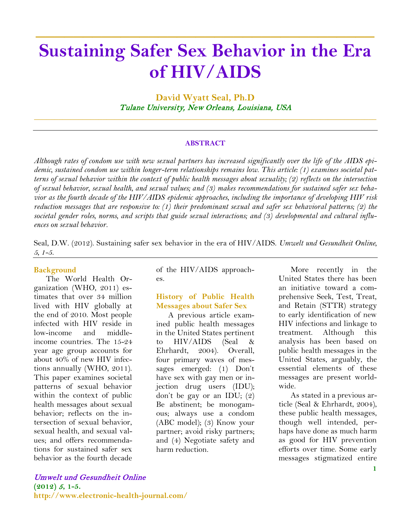# **Sustaining Safer Sex Behavior in the Era of HIV/AIDS**

**\_\_\_\_\_\_\_\_\_\_\_\_\_\_\_\_\_\_\_\_\_\_\_\_\_\_\_\_\_\_\_\_\_\_\_\_**

**David Wyatt Seal, Ph.D** Tulane University, New Orleans, Louisiana, USA

\_\_\_\_\_\_\_\_\_\_\_\_\_\_\_\_\_\_\_\_\_\_\_\_\_\_\_\_\_\_\_\_\_\_\_\_\_\_\_\_\_\_\_\_\_\_\_\_\_\_\_\_\_\_\_\_\_\_\_\_\_\_\_\_\_\_\_\_\_\_\_\_\_\_\_\_\_\_\_\_\_\_\_\_\_

#### **ABSTRACT**

*Although rates of condom use with new sexual partners has increased significantly over the life of the AIDS epidemic, sustained condom use within longer-term relationships remains low. This article: (1) examines societal patterns of sexual behavior within the context of public health messages about sexuality; (2) reflects on the intersection of sexual behavior, sexual health, and sexual values; and (3) makes recommendations for sustained safer sex behavior as the fourth decade of the HIV/AIDS epidemic approaches, including the importance of developing HIV risk reduction messages that are responsive to: (1) their predominant sexual and safer sex behavioral patterns; (2) the societal gender roles, norms, and scripts that guide sexual interactions; and (3) developmental and cultural influences on sexual behavior.*

Seal, D.W. (2012). Sustaining safer sex behavior in the era of HIV/AIDS. *Umwelt und Gesundheit Online, 5, 1-5.*

#### **Background**

The World Health Organization (WHO, 2011) estimates that over 34 million lived with HIV globally at the end of 2010. Most people infected with HIV reside in low-income and middleincome countries. The 15-24 year age group accounts for about 40% of new HIV infections annually (WHO, 2011). This paper examines societal patterns of sexual behavior within the context of public health messages about sexual behavior; reflects on the intersection of sexual behavior, sexual health, and sexual values; and offers recommendations for sustained safer sex behavior as the fourth decade of the HIV/AIDS approaches.

#### **History of Public Health Messages about Safer Sex**

A previous article examined public health messages in the United States pertinent to HIV/AIDS (Seal & Ehrhardt, 2004). Overall, four primary waves of messages emerged: (1) Don't have sex with gay men or injection drug users (IDU); don't be gay or an IDU; (2) Be abstinent; be monogamous; always use a condom (ABC model); (3) Know your partner; avoid risky partners; and (4) Negotiate safety and harm reduction.

More recently in the United States there has been an initiative toward a comprehensive Seek, Test, Treat, and Retain (STTR) strategy to early identification of new HIV infections and linkage to treatment. Although this analysis has been based on public health messages in the United States, arguably, the essential elements of these messages are present worldwide.

As stated in a previous article (Seal & Ehrhardt, 2004), these public health messages, though well intended, perhaps have done as much harm as good for HIV prevention efforts over time. Some early messages stigmatized entire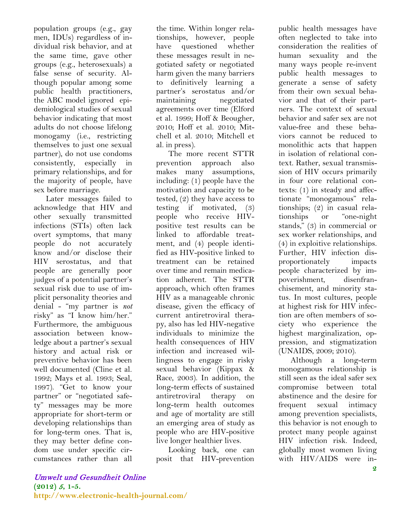population groups (e.g., gay men, IDUs) regardless of individual risk behavior, and at the same time, gave other groups (e.g., heterosexuals) a false sense of security. Although popular among some public health practitioners, the ABC model ignored epidemiological studies of sexual behavior indicating that most adults do not choose lifelong monogamy (i.e., restricting themselves to just one sexual partner), do not use condoms consistently, especially in primary relationships, and for the majority of people, have sex before marriage.

Later messages failed to acknowledge that HIV and other sexually transmitted infections (STIs) often lack overt symptoms, that many people do not accurately know and/or disclose their HIV serostatus, and that people are generally poor judges of a potential partner's sexual risk due to use of implicit personality theories and denial - "my partner is *not* risky" as "I know him/her." Furthermore, the ambiguous association between knowledge about a partner's sexual history and actual risk or preventive behavior has been well documented (Cline et al. 1992; Mays et al. 1993; Seal, 1997). "Get to know your partner" or "negotiated safety" messages may be more appropriate for short-term or developing relationships than for long-term ones. That is, they may better define condom use under specific circumstances rather than all

the time. Within longer relationships, however, people have questioned whether these messages result in negotiated safety or negotiated harm given the many barriers to definitively learning a partner's serostatus and/or maintaining negotiated agreements over time (Elford et al. 1999; Hoff & Beougher, 2010; Hoff et al. 2010; Mitchell et al. 2010; Mitchell et al. in press).

The more recent STTR prevention approach also makes many assumptions, including: (1) people have the motivation and capacity to be tested, (2) they have access to testing if motivated, (3) people who receive HIVpositive test results can be linked to affordable treatment, and (4) people identified as HIV-positive linked to treatment can be retained over time and remain medication adherent. The STTR approach, which often frames HIV as a manageable chronic disease, given the efficacy of current antiretroviral therapy, also has led HIV-negative individuals to minimize the health consequences of HIV infection and increased willingness to engage in risky sexual behavior (Kippax & Race, 2003). In addition, the long-term effects of sustained antiretroviral therapy on long-term health outcomes and age of mortality are still an emerging area of study as people who are HIV-positive live longer healthier lives.

Looking back, one can posit that HIV-prevention

public health messages have often neglected to take into consideration the realities of human sexuality and the many ways people re-invent public health messages to generate a sense of safety from their own sexual behavior and that of their partners. The context of sexual behavior and safer sex are not value-free and these behaviors cannot be reduced to monolithic acts that happen in isolation of relational context. Rather, sexual transmission of HIV occurs primarily in four core relational contexts: (1) in steady and affectionate "monogamous" relationships; (2) in casual relationships or "one-night stands," (3) in commercial or sex worker relationships, and (4) in exploitive relationships. Further, HIV infection disproportionately impacts people characterized by impoverishment, disenfranchisement, and minority status. In most cultures, people at highest risk for HIV infection are often members of society who experience the highest marginalization, oppression, and stigmatization (UNAIDS, 2009; 2010).

Although a long-term monogamous relationship is still seen as the ideal safer sex compromise between total abstinence and the desire for frequent sexual intimacy among prevention specialists, this behavior is not enough to protect many people against HIV infection risk. Indeed, globally most women living with HIV/AIDS were in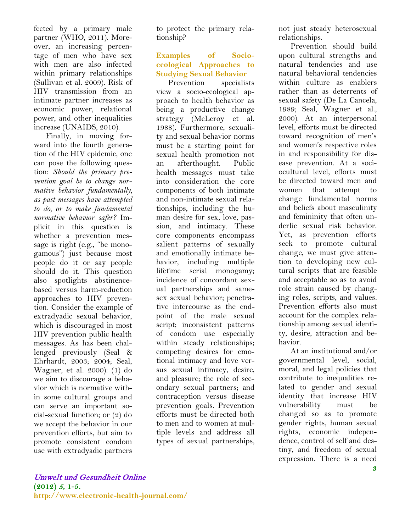fected by a primary male partner (WHO, 2011). Moreover, an increasing percentage of men who have sex with men are also infected within primary relationships (Sullivan et al. 2009). Risk of HIV transmission from an intimate partner increases as economic power, relational power, and other inequalities increase (UNAIDS, 2010).

Finally, in moving forward into the fourth generation of the HIV epidemic, one can pose the following question: *Should the primary prevention goal be to change normative behavior fundamentally, as past messages have attempted to do, or to make fundamental normative behavior safer?* Implicit in this question is whether a prevention message is right (e.g., "be monogamous") just because most people do it or say people should do it. This question also spotlights abstinencebased versus harm-reduction approaches to HIV prevention. Consider the example of extradyadic sexual behavior, which is discouraged in most HIV prevention public health messages. As has been challenged previously (Seal & Ehrhardt, 2003; 2004; Seal, Wagner, et al. 2000): (1) do we aim to discourage a behavior which is normative within some cultural groups and can serve an important social-sexual function; or (2) do we accept the behavior in our prevention efforts, but aim to promote consistent condom use with extradyadic partners

to protect the primary relationship?

### **Examples of Socioecological Approaches to Studying Sexual Behavior**

Prevention specialists view a socio-ecological approach to health behavior as being a productive change strategy (McLeroy et al. 1988). Furthermore, sexuality and sexual behavior norms must be a starting point for sexual health promotion not an afterthought. Public health messages must take into consideration the core components of both intimate and non-intimate sexual relationships, including the human desire for sex, love, passion, and intimacy. These core components encompass salient patterns of sexually and emotionally intimate behavior, including multiple lifetime serial monogamy; incidence of concordant sexual partnerships and samesex sexual behavior; penetrative intercourse as the endpoint of the male sexual script; inconsistent patterns of condom use especially within steady relationships; competing desires for emotional intimacy and love versus sexual intimacy, desire, and pleasure; the role of secondary sexual partners; and contraception versus disease prevention goals. Prevention efforts must be directed both to men and to women at multiple levels and address all types of sexual partnerships,

not just steady heterosexual relationships.

Prevention should build upon cultural strengths and natural tendencies and use natural behavioral tendencies within culture as enablers rather than as deterrents of sexual safety (De La Cancela, 1989; Seal, Wagner et al., 2000). At an interpersonal level, efforts must be directed toward recognition of men's and women's respective roles in and responsibility for disease prevention. At a sociocultural level, efforts must be directed toward men and women that attempt to change fundamental norms and beliefs about masculinity and femininity that often underlie sexual risk behavior. Yet, as prevention efforts seek to promote cultural change, we must give attention to developing new cultural scripts that are feasible and acceptable so as to avoid role strain caused by changing roles, scripts, and values. Prevention efforts also must account for the complex relationship among sexual identity, desire, attraction and behavior.

At an institutional and/or governmental level, social, moral, and legal policies that contribute to inequalities related to gender and sexual identity that increase HIV vulnerability must be changed so as to promote gender rights, human sexual rights, economic independence, control of self and destiny, and freedom of sexual expression. There is a need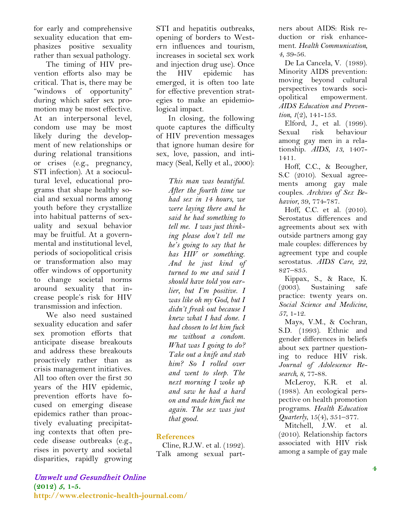for early and comprehensive sexuality education that emphasizes positive sexuality rather than sexual pathology.

The timing of HIV prevention efforts also may be critical. That is, there may be "windows of opportunity" during which safer sex promotion may be most effective. At an interpersonal level, condom use may be most likely during the development of new relationships or during relational transitions or crises (e.g., pregnancy, STI infection). At a sociocultural level, educational programs that shape healthy social and sexual norms among youth before they crystallize into habitual patterns of sexuality and sexual behavior may be fruitful. At a governmental and institutional level, periods of sociopolitical crisis or transformation also may offer windows of opportunity to change societal norms around sexuality that increase people's risk for HIV transmission and infection.

We also need sustained sexuality education and safer sex promotion efforts that anticipate disease breakouts and address these breakouts proactively rather than as crisis management initiatives. All too often over the first 30 years of the HIV epidemic, prevention efforts have focused on emerging disease epidemics rather than proactively evaluating precipitating contexts that often precede disease outbreaks (e.g., rises in poverty and societal disparities, rapidly growing STI and hepatitis outbreaks, opening of borders to Western influences and tourism, increases in societal sex work and injection drug use). Once the HIV epidemic has emerged, it is often too late for effective prevention strategies to make an epidemiological impact.

In closing, the following quote captures the difficulty of HIV prevention messages that ignore human desire for sex, love, passion, and intimacy (Seal, Kelly et al., 2000):

> *This man was beautiful. After the fourth time we had sex in 14 hours, we were laying there and he said he had something to tell me. I was just thinking please don't tell me he's going to say that he has HIV or something. And he just kind of turned to me and said I should have told you earlier, but I'm positive. I was like oh my God, but I didn't freak out because I knew what I had done. I had chosen to let him fuck me without a condom. What was I going to do? Take out a knife and stab him? So I rolled over and went to sleep. The next morning I woke up and saw he had a hard on and made him fuck me again. The sex was just that good.*

#### **References**

Cline, R.J.W. et al. (1992). Talk among sexual partners about AIDS: Risk reduction or risk enhancement. *Health Communication, 4*, 39-56.

De La Cancela, V. (1989). Minority AIDS prevention: moving beyond cultural perspectives towards sociopolitical empowerment. *AIDS Education and Prevention, 1*(2), 141-153.

Elford, J., et al. (1999). Sexual risk behaviour among gay men in a relationship. *AIDS, 13*, 1407- 1411.

Hoff, C.C., & Beougher, S.C (2010). Sexual agreements among gay male couples. *Archives of Sex Behavior,* 39, 774-787.

Hoff, C.C. et al. (2010). Serostatus differences and agreements about sex with outside partners among gay male couples: differences by agreement type and couple serostatus. *AIDS Care, 22*, 827–835.

Kippax, S., & Race, K. (2003). Sustaining safe practice: twenty years on. *Social Science and Medicine, 57*, 1-12.

Mays, V.M., & Cochran, S.D. (1993). Ethnic and gender differences in beliefs about sex partner questioning to reduce HIV risk. *Journal of Adolescence Research, 8*, 77-88.

McLeroy, K.R. et al. (1988). An ecological perspective on health promotion programs. *Health Education Quarterly*, 15(4), 351–377.

Mitchell, J.W. et al. (2010). Relationship factors associated with HIV risk among a sample of gay male

## Umwelt und Gesundheit Online

**(2012)** 5**, 1-5. http://www.electronic-health-journal.com/**